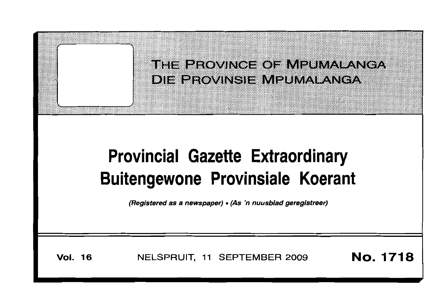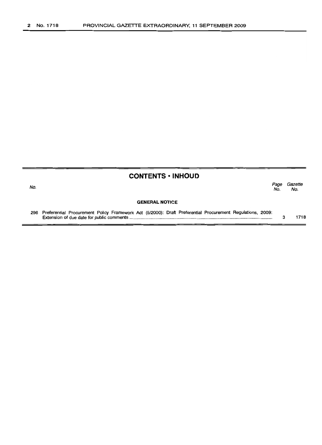| <b>CONTENTS · INHOUD</b> |                                                                                                               |             |                |
|--------------------------|---------------------------------------------------------------------------------------------------------------|-------------|----------------|
| No.                      |                                                                                                               | Page<br>No. | Gazette<br>No. |
|                          | <b>GENERAL NOTICE</b>                                                                                         |             |                |
|                          | 296 Preferential Procurement Policy Framework Act (5/2000): Draft Preferential Procurement Regulations, 2009: |             | 1718           |